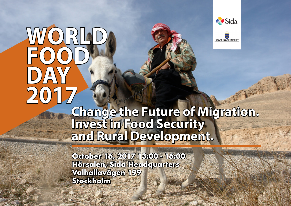## WORLD **FOOD D**)  $\triangle$ **2017**



REGERINGSKANSLIET

## **Change the Future of Migration. Invest in Food Security and Rural Development.**

**October 16, 2017 13:00 - 16:00 Hörsalen, Sida Headquarters Valhallavägen 199 Stockholm**